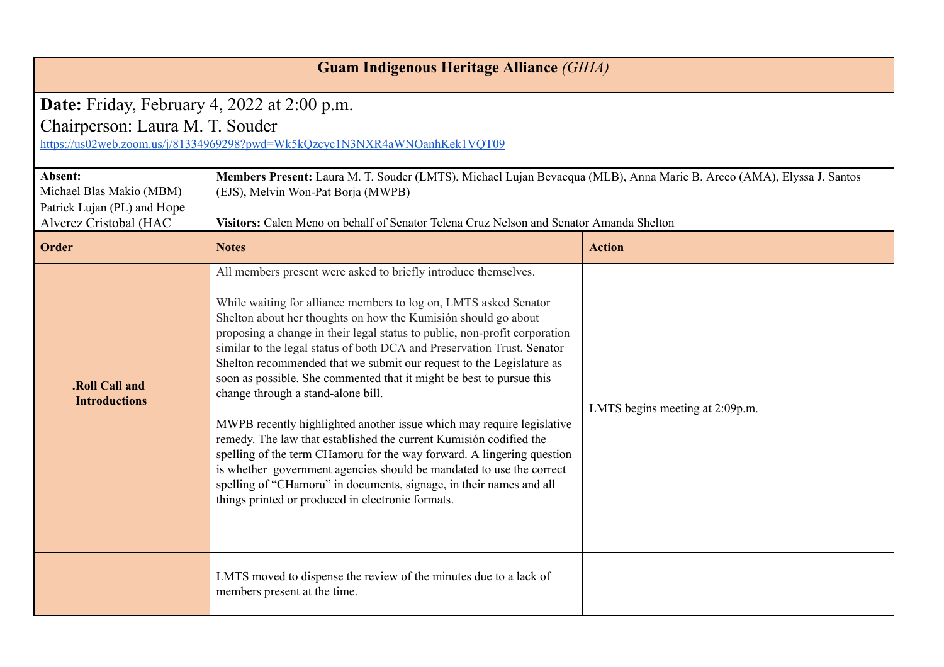| <b>Guam Indigenous Heritage Alliance (GIHA)</b>                                                               |                                                                                                                                                                                                                                                                                                                                                                                                                                                                                                                                                                                                                                                                                                                                                                                                                                                                                                                                                                                   |                                 |  |  |
|---------------------------------------------------------------------------------------------------------------|-----------------------------------------------------------------------------------------------------------------------------------------------------------------------------------------------------------------------------------------------------------------------------------------------------------------------------------------------------------------------------------------------------------------------------------------------------------------------------------------------------------------------------------------------------------------------------------------------------------------------------------------------------------------------------------------------------------------------------------------------------------------------------------------------------------------------------------------------------------------------------------------------------------------------------------------------------------------------------------|---------------------------------|--|--|
| <b>Date:</b> Friday, February 4, 2022 at 2:00 p.m.                                                            |                                                                                                                                                                                                                                                                                                                                                                                                                                                                                                                                                                                                                                                                                                                                                                                                                                                                                                                                                                                   |                                 |  |  |
| Chairperson: Laura M. T. Souder<br>https://us02web.zoom.us/j/81334969298?pwd=Wk5kQzcyc1N3NXR4aWNOanhKek1VQT09 |                                                                                                                                                                                                                                                                                                                                                                                                                                                                                                                                                                                                                                                                                                                                                                                                                                                                                                                                                                                   |                                 |  |  |
| Absent:<br>Michael Blas Makio (MBM)<br>Patrick Lujan (PL) and Hope<br>Alverez Cristobal (HAC                  | Members Present: Laura M. T. Souder (LMTS), Michael Lujan Bevacqua (MLB), Anna Marie B. Arceo (AMA), Elyssa J. Santos<br>(EJS), Melvin Won-Pat Borja (MWPB)<br>Visitors: Calen Meno on behalf of Senator Telena Cruz Nelson and Senator Amanda Shelton                                                                                                                                                                                                                                                                                                                                                                                                                                                                                                                                                                                                                                                                                                                            |                                 |  |  |
| <b>Order</b>                                                                                                  | <b>Notes</b>                                                                                                                                                                                                                                                                                                                                                                                                                                                                                                                                                                                                                                                                                                                                                                                                                                                                                                                                                                      | <b>Action</b>                   |  |  |
| .Roll Call and<br><b>Introductions</b>                                                                        | All members present were asked to briefly introduce themselves.<br>While waiting for alliance members to log on, LMTS asked Senator<br>Shelton about her thoughts on how the Kumisión should go about<br>proposing a change in their legal status to public, non-profit corporation<br>similar to the legal status of both DCA and Preservation Trust. Senator<br>Shelton recommended that we submit our request to the Legislature as<br>soon as possible. She commented that it might be best to pursue this<br>change through a stand-alone bill.<br>MWPB recently highlighted another issue which may require legislative<br>remedy. The law that established the current Kumisión codified the<br>spelling of the term CHamoru for the way forward. A lingering question<br>is whether government agencies should be mandated to use the correct<br>spelling of "CHamoru" in documents, signage, in their names and all<br>things printed or produced in electronic formats. | LMTS begins meeting at 2:09p.m. |  |  |
|                                                                                                               | LMTS moved to dispense the review of the minutes due to a lack of<br>members present at the time.                                                                                                                                                                                                                                                                                                                                                                                                                                                                                                                                                                                                                                                                                                                                                                                                                                                                                 |                                 |  |  |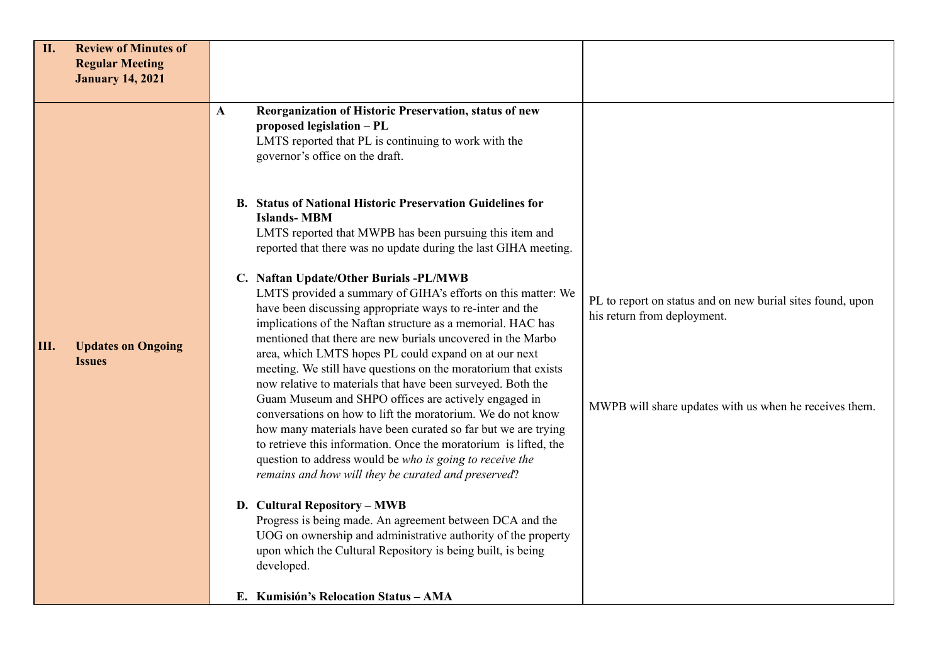| II.  | <b>Review of Minutes of</b>                       |                                                                                                                                                                                                                                                                                                                                                                                                                                                                                                                                                                                                                                                                                                                                                                                                                                                                            |                                                                                                                                                     |
|------|---------------------------------------------------|----------------------------------------------------------------------------------------------------------------------------------------------------------------------------------------------------------------------------------------------------------------------------------------------------------------------------------------------------------------------------------------------------------------------------------------------------------------------------------------------------------------------------------------------------------------------------------------------------------------------------------------------------------------------------------------------------------------------------------------------------------------------------------------------------------------------------------------------------------------------------|-----------------------------------------------------------------------------------------------------------------------------------------------------|
|      | <b>Regular Meeting</b><br><b>January 14, 2021</b> |                                                                                                                                                                                                                                                                                                                                                                                                                                                                                                                                                                                                                                                                                                                                                                                                                                                                            |                                                                                                                                                     |
|      |                                                   |                                                                                                                                                                                                                                                                                                                                                                                                                                                                                                                                                                                                                                                                                                                                                                                                                                                                            |                                                                                                                                                     |
|      |                                                   | Reorganization of Historic Preservation, status of new<br>$\mathbf{A}$<br>proposed legislation - PL<br>LMTS reported that PL is continuing to work with the<br>governor's office on the draft.<br><b>B.</b> Status of National Historic Preservation Guidelines for                                                                                                                                                                                                                                                                                                                                                                                                                                                                                                                                                                                                        |                                                                                                                                                     |
|      |                                                   | <b>Islands-MBM</b><br>LMTS reported that MWPB has been pursuing this item and<br>reported that there was no update during the last GIHA meeting.                                                                                                                                                                                                                                                                                                                                                                                                                                                                                                                                                                                                                                                                                                                           |                                                                                                                                                     |
| III. | <b>Updates on Ongoing</b><br><b>Issues</b>        | C. Naftan Update/Other Burials -PL/MWB<br>LMTS provided a summary of GIHA's efforts on this matter: We<br>have been discussing appropriate ways to re-inter and the<br>implications of the Naftan structure as a memorial. HAC has<br>mentioned that there are new burials uncovered in the Marbo<br>area, which LMTS hopes PL could expand on at our next<br>meeting. We still have questions on the moratorium that exists<br>now relative to materials that have been surveyed. Both the<br>Guam Museum and SHPO offices are actively engaged in<br>conversations on how to lift the moratorium. We do not know<br>how many materials have been curated so far but we are trying<br>to retrieve this information. Once the moratorium is lifted, the<br>question to address would be who is going to receive the<br>remains and how will they be curated and preserved? | PL to report on status and on new burial sites found, upon<br>his return from deployment.<br>MWPB will share updates with us when he receives them. |
|      |                                                   | D. Cultural Repository - MWB<br>Progress is being made. An agreement between DCA and the<br>UOG on ownership and administrative authority of the property<br>upon which the Cultural Repository is being built, is being<br>developed.                                                                                                                                                                                                                                                                                                                                                                                                                                                                                                                                                                                                                                     |                                                                                                                                                     |
|      |                                                   | E. Kumisión's Relocation Status - AMA                                                                                                                                                                                                                                                                                                                                                                                                                                                                                                                                                                                                                                                                                                                                                                                                                                      |                                                                                                                                                     |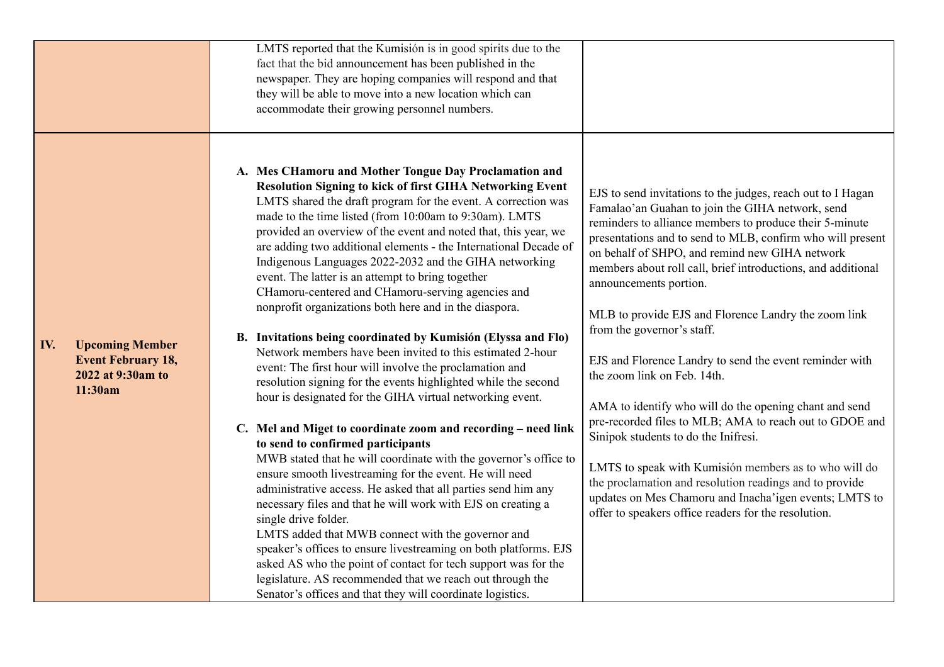|                                                                                            | LMTS reported that the Kumisión is in good spirits due to the<br>fact that the bid announcement has been published in the<br>newspaper. They are hoping companies will respond and that<br>they will be able to move into a new location which can<br>accommodate their growing personnel numbers.                                                                                                                                                                                                                                                                                                                                                                                                                                                                                                                                                                                                                                                                                                                                                                                                                                                                                                                                                                                                                                                                                                                                                                                                                                                                                                                                                                     |                                                                                                                                                                                                                                                                                                                                                                                                                                                                                                                                                                                                                                                                                                                                                                                                                                                                                                                                                                         |
|--------------------------------------------------------------------------------------------|------------------------------------------------------------------------------------------------------------------------------------------------------------------------------------------------------------------------------------------------------------------------------------------------------------------------------------------------------------------------------------------------------------------------------------------------------------------------------------------------------------------------------------------------------------------------------------------------------------------------------------------------------------------------------------------------------------------------------------------------------------------------------------------------------------------------------------------------------------------------------------------------------------------------------------------------------------------------------------------------------------------------------------------------------------------------------------------------------------------------------------------------------------------------------------------------------------------------------------------------------------------------------------------------------------------------------------------------------------------------------------------------------------------------------------------------------------------------------------------------------------------------------------------------------------------------------------------------------------------------------------------------------------------------|-------------------------------------------------------------------------------------------------------------------------------------------------------------------------------------------------------------------------------------------------------------------------------------------------------------------------------------------------------------------------------------------------------------------------------------------------------------------------------------------------------------------------------------------------------------------------------------------------------------------------------------------------------------------------------------------------------------------------------------------------------------------------------------------------------------------------------------------------------------------------------------------------------------------------------------------------------------------------|
| IV.<br><b>Upcoming Member</b><br><b>Event February 18,</b><br>2022 at 9:30am to<br>11:30am | A. Mes CHamoru and Mother Tongue Day Proclamation and<br><b>Resolution Signing to kick of first GIHA Networking Event</b><br>LMTS shared the draft program for the event. A correction was<br>made to the time listed (from 10:00am to 9:30am). LMTS<br>provided an overview of the event and noted that, this year, we<br>are adding two additional elements - the International Decade of<br>Indigenous Languages 2022-2032 and the GIHA networking<br>event. The latter is an attempt to bring together<br>CHamoru-centered and CHamoru-serving agencies and<br>nonprofit organizations both here and in the diaspora.<br>B. Invitations being coordinated by Kumisión (Elyssa and Flo)<br>Network members have been invited to this estimated 2-hour<br>event: The first hour will involve the proclamation and<br>resolution signing for the events highlighted while the second<br>hour is designated for the GIHA virtual networking event.<br>C. Mel and Miget to coordinate zoom and recording - need link<br>to send to confirmed participants<br>MWB stated that he will coordinate with the governor's office to<br>ensure smooth livestreaming for the event. He will need<br>administrative access. He asked that all parties send him any<br>necessary files and that he will work with EJS on creating a<br>single drive folder.<br>LMTS added that MWB connect with the governor and<br>speaker's offices to ensure livestreaming on both platforms. EJS<br>asked AS who the point of contact for tech support was for the<br>legislature. AS recommended that we reach out through the<br>Senator's offices and that they will coordinate logistics. | EJS to send invitations to the judges, reach out to I Hagan<br>Famalao'an Guahan to join the GIHA network, send<br>reminders to alliance members to produce their 5-minute<br>presentations and to send to MLB, confirm who will present<br>on behalf of SHPO, and remind new GIHA network<br>members about roll call, brief introductions, and additional<br>announcements portion.<br>MLB to provide EJS and Florence Landry the zoom link<br>from the governor's staff.<br>EJS and Florence Landry to send the event reminder with<br>the zoom link on Feb. 14th.<br>AMA to identify who will do the opening chant and send<br>pre-recorded files to MLB; AMA to reach out to GDOE and<br>Sinipok students to do the Inifresi.<br>LMTS to speak with Kumisión members as to who will do<br>the proclamation and resolution readings and to provide<br>updates on Mes Chamoru and Inacha'igen events; LMTS to<br>offer to speakers office readers for the resolution. |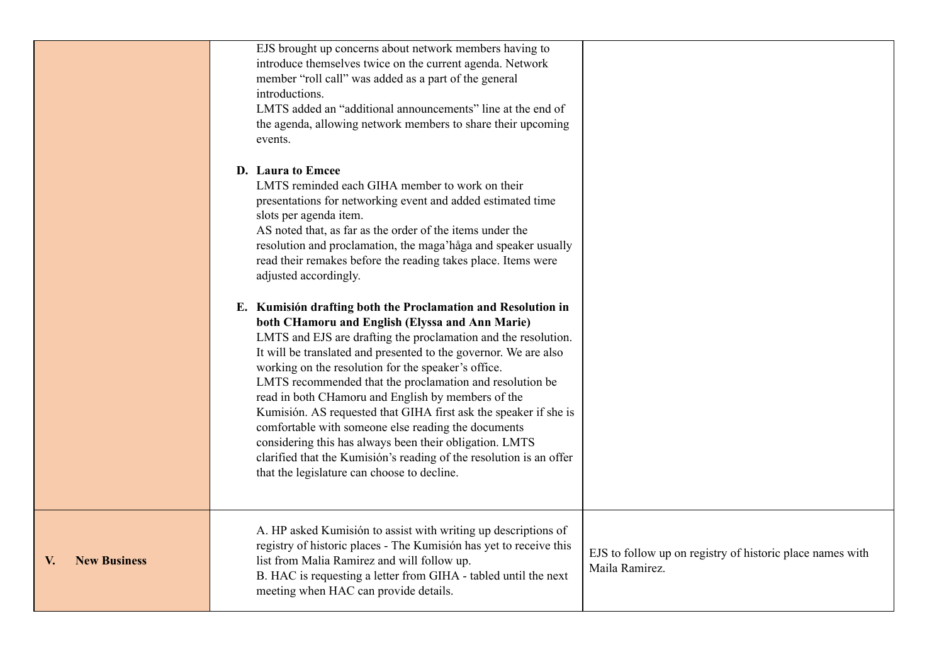|                           | EJS brought up concerns about network members having to<br>introduce themselves twice on the current agenda. Network<br>member "roll call" was added as a part of the general<br>introductions.<br>LMTS added an "additional announcements" line at the end of<br>the agenda, allowing network members to share their upcoming<br>events.                                                                                                                                                                                                                                                                                                                                                                                                  |                                                                             |
|---------------------------|--------------------------------------------------------------------------------------------------------------------------------------------------------------------------------------------------------------------------------------------------------------------------------------------------------------------------------------------------------------------------------------------------------------------------------------------------------------------------------------------------------------------------------------------------------------------------------------------------------------------------------------------------------------------------------------------------------------------------------------------|-----------------------------------------------------------------------------|
|                           | D. Laura to Emcee<br>LMTS reminded each GIHA member to work on their<br>presentations for networking event and added estimated time<br>slots per agenda item.<br>AS noted that, as far as the order of the items under the<br>resolution and proclamation, the maga håga and speaker usually<br>read their remakes before the reading takes place. Items were<br>adjusted accordingly.                                                                                                                                                                                                                                                                                                                                                     |                                                                             |
|                           | E. Kumisión drafting both the Proclamation and Resolution in<br>both CHamoru and English (Elyssa and Ann Marie)<br>LMTS and EJS are drafting the proclamation and the resolution.<br>It will be translated and presented to the governor. We are also<br>working on the resolution for the speaker's office.<br>LMTS recommended that the proclamation and resolution be<br>read in both CHamoru and English by members of the<br>Kumisión. AS requested that GIHA first ask the speaker if she is<br>comfortable with someone else reading the documents<br>considering this has always been their obligation. LMTS<br>clarified that the Kumisión's reading of the resolution is an offer<br>that the legislature can choose to decline. |                                                                             |
| <b>New Business</b><br>V. | A. HP asked Kumisión to assist with writing up descriptions of<br>registry of historic places - The Kumisión has yet to receive this<br>list from Malia Ramirez and will follow up.<br>B. HAC is requesting a letter from GIHA - tabled until the next<br>meeting when HAC can provide details.                                                                                                                                                                                                                                                                                                                                                                                                                                            | EJS to follow up on registry of historic place names with<br>Maila Ramirez. |